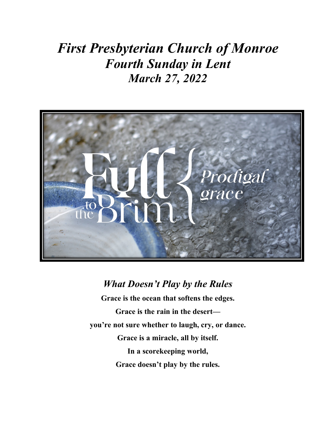## *First Presbyterian Church of Monroe Fourth Sunday in Lent March 27, 2022*



#### *What Doesn't Play by the Rules*

**Grace is the ocean that softens the edges. Grace is the rain in the desert you're not sure whether to laugh, cry, or dance. Grace is a miracle, all by itself. In a scorekeeping world, Grace doesn't play by the rules.**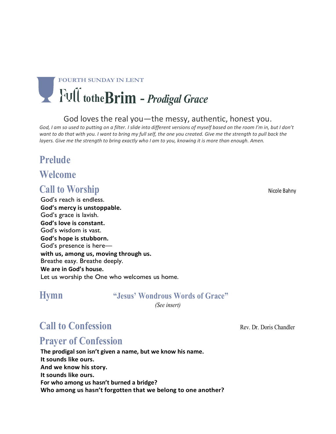# **FOURTH SUNDAY IN LENT totheBrim** - *Prodigal Grace*

#### God loves the real you—the messy, authentic, honest you.

God, I am so used to putting on a filter. I slide into different versions of myself based on the room I'm in, but I don't want to do that with you. I want to bring my full self, the one you created. Give me the strength to pull back the layers. Give me the strength to bring exactly who I am to you, knowing it is more than enough. Amen.

#### **Prelude**

#### **Welcome**

#### **Call to Worship**  Nicole Bahny

God's reach is endless. **God's mercy is unstoppable.** God's grace is lavish. **God's love is constant.** God's wisdom is vast. **God's hope is stubborn.** God's presence is here **with us, among us, moving through us.** Breathe easy. Breathe deeply. **We are in God's house.** Let us worship the One who welcomes us home.

#### **Hymn****"Jesus' Wondrous Words of Grace"**

*(See insert)*

### **Call to Confession Rev. Dr. Doris Chandler Rev. Dr. Doris Chandler**

### **Prayer of Confession**

**The prodigal son isn't given a name, but we know his name. It sounds like ours. And we know his story. It sounds like ours. For who among us hasn't burned a bridge? Who among us hasn't forgotten that we belong to one another?**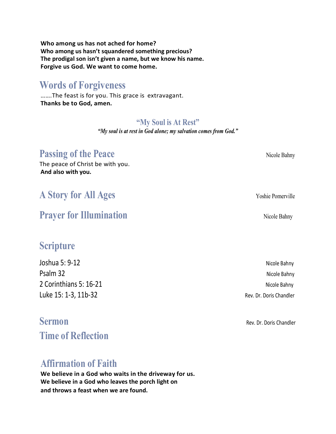**Who among us has not ached for home? Who among us hasn't squandered something precious? The prodigal son isn't given a name, but we know his name. Forgive us God. We want to come home.**

#### **Words of Forgiveness**

…….The feast is for you. This grace is extravagant. **Thanks be to God, amen.**

#### **"My Soul is At Rest"**

*"My soul is at rest in God alone; my salvation comes from God."*

### **Passing of the Peace Nicole Bahny** Nicole Bahny

The peace of Christ be with you. **And also with you.**

### **A Story for All Ages** Yoshie Pomerville

### **Prayer for Illumination** Nicole Bahny

### **Scripture**

Joshua 5: 9-12 Nicole Bahny Psalm 32 Nicole Bahny 2 Corinthians 5: 16-21 Nicole Bahny Luke 15: 1-3, 11b-32 Rev. Dr. Doris Chandler

**Time of Reflection**

### **Affirmation of Faith**

**We believe in a God who waits in the driveway for us. We believe in a God who leaves the porch light on and throws a feast when we are found.**

**Sermon Rev. Dr. Doris Chandler**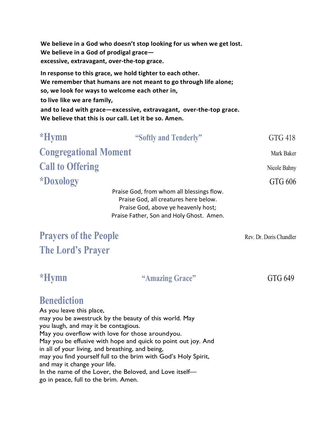**We believe in a God who doesn't stop looking for us when we get lost. We believe in a God of prodigal grace excessive, extravagant, over-the-top grace.**

**In response to this grace, we hold tighter to each other. We remember that humans are not meant to go through life alone; so, we look for ways to welcome each other in, to live like we are family, and to lead with grace—excessive, extravagant, over-the-top grace. We believe that this is our call. Let it be so. Amen.**

| *Hymn                                                                                                                                                                 | "Softly and Tenderly" | GTG 418      |
|-----------------------------------------------------------------------------------------------------------------------------------------------------------------------|-----------------------|--------------|
| <b>Congregational Moment</b>                                                                                                                                          |                       | Mark Baker   |
| <b>Call to Offering</b>                                                                                                                                               |                       | Nicole Bahny |
| *Doxology                                                                                                                                                             |                       | GTG 606      |
| Praise God, from whom all blessings flow.<br>Praise God, all creatures here below.<br>Praise God, above ye heavenly host;<br>Praise Father, Son and Holy Ghost. Amen. |                       |              |

### **Prayers of the People** Rev. Dr. Doris Chandler **The Lord's Prayer**

#### **\*Hymn "Amazing Grace"** GTG 649

### **Benediction**

As you leave this place, may you be awestruck by the beauty of this world. May you laugh, and may it be contagious. May you overflow with love for those aroundyou. May you be effusive with hope and quick to point out joy. And in all of your living, and breathing, and being, may you find yourself full to the brim with God's Holy Spirit, and may it change your life. In the name of the Lover, the Beloved, and Love itself go in peace, full to the brim. Amen.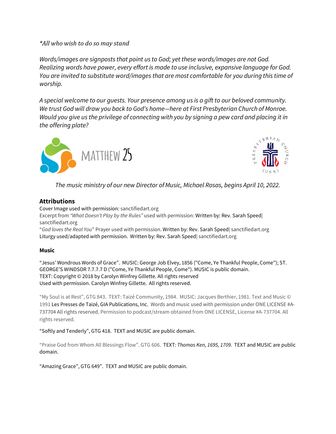*\*All who wish to do so may stand*

*Words/images are signposts that point us to God; yet these words/images are not God. Realizing words have power, every effort is made to use inclusive, expansive language for God. You are invited to substitute word/images that are most comfortable for you during this time of worship.*

*A special welcome to our guests. Your presence among us is a gift to our beloved community. We trust God will draw you back to God's home—here at First Presbyterian Church of Monroe. Would you give us the privilege of connecting with you by signing a pew card and placing it in the offering plate?* 





*The music ministry of our new Director of Music, Michael Rosas, begins April 10, 2022.*

#### **Attributions**

#### Cover Image used with permission: sanctifiedart.org

Excerpt from *"What Doesn't Play by the Rules"* used with permission: Written by: Rev. Sarah Speed| sanctifiedart.org

"*God loves the Real You*" Prayer used with permission. Written by: Rev. Sarah Speed| sanctifiedart.org Liturgy used/adapted with permission. Written by: Rev. Sarah Speed| sanctifiedart.org

#### **Music**

"Jesus' Wondrous Words of Grace". MUSIC: George Job Elvey, 1856 ("Come, Ye Thankful People, Come"); ST. GEORGE'S WINDSOR 7.7.7.7 D ("Come, Ye Thankful People, Come"). MUSIC is public domain. TEXT: Copyright © 2018 by Carolyn Winfrey Gillette. All rights reserved Used with permission. Carolyn Winfrey Gillette. All rights reserved.

"My Soul is at Rest", GTG 843. TEXT: Taizé Community, 1984. MUSIC: Jacques Berthier, 1981. Text and Music © 1991 Les Presses de Taizé, GIA Publications, Inc. Words and music used with permission under ONE LICENSE #A-737704 All rights reserved. Permission to podcast/stream obtained from ONE LICENSE, License #A-737704. All rights reserved.

"Softly and Tenderly", GTG 418. TEXT and MUSIC are public domain.

"Praise God from Whom All Blessings Flow". GTG 606. TEXT*: Thomas Ken, 1695, 1709.* TEXT and MUSIC are public domain.

"Amazing Grace", GTG 649". TEXT and MUSIC are public domain.